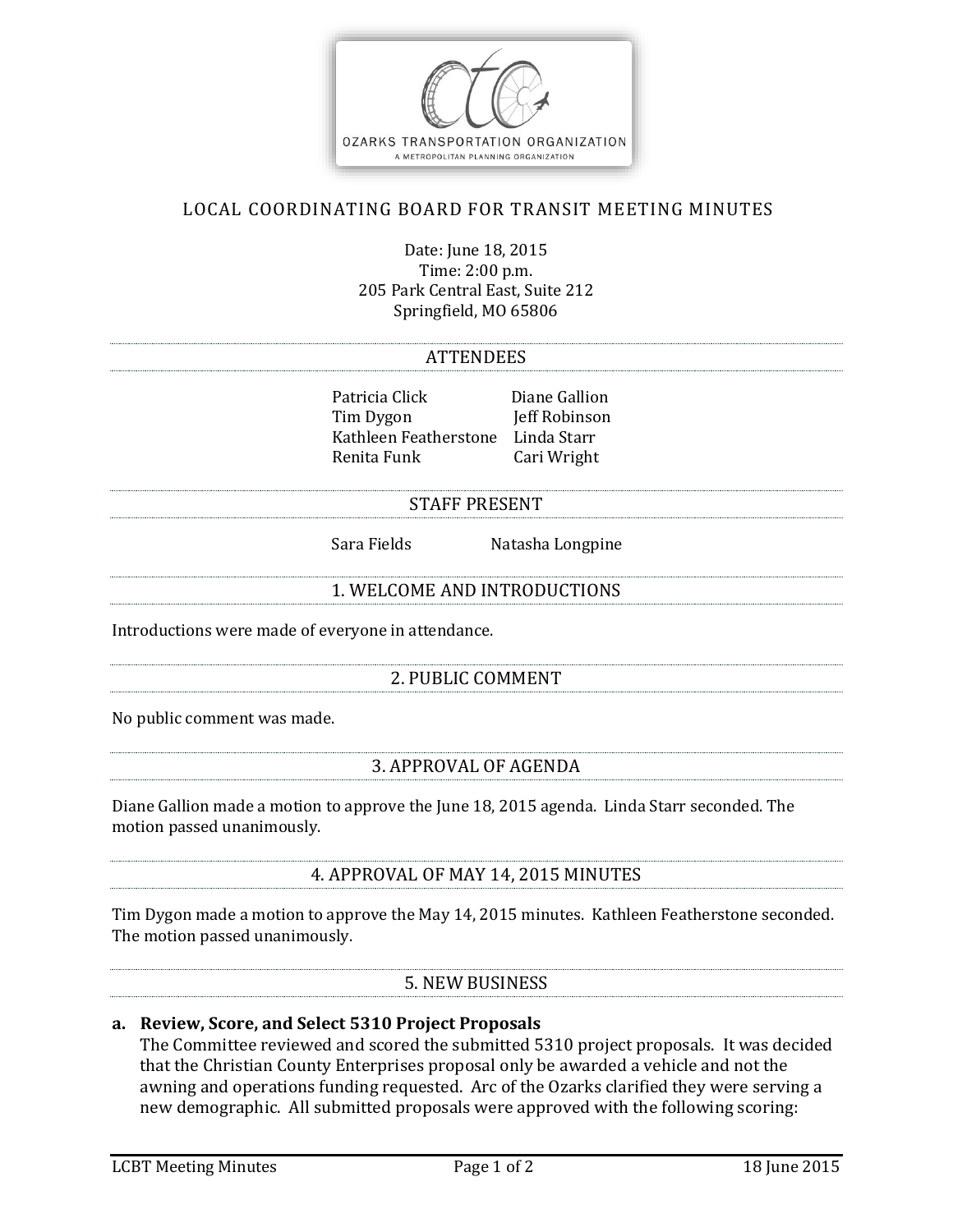

# LOCAL COORDINATING BOARD FOR TRANSIT MEETING MINUTES

Date: June 18, 2015 Time: 2:00 p.m. 205 Park Central East, Suite 212 Springfield, MO 65806

#### **ATTENDEES**

Patricia Click Diane Gallion Tim Dygon Jeff Robinson Kathleen Featherstone Linda Starr Renita Funk Cari Wright

#### STAFF PRESENT

Sara Fields Natasha Longpine

## 1. WELCOME AND INTRODUCTIONS

Introductions were made of everyone in attendance.

## 2. PUBLIC COMMENT

No public comment was made.

#### 3. APPROVAL OF AGENDA

Diane Gallion made a motion to approve the June 18, 2015 agenda. Linda Starr seconded. The motion passed unanimously.

#### 4. APPROVAL OF MAY 14, 2015 MINUTES

Tim Dygon made a motion to approve the May 14, 2015 minutes. Kathleen Featherstone seconded. The motion passed unanimously.

#### 5. NEW BUSINESS

#### **a. Review, Score, and Select 5310 Project Proposals**

The Committee reviewed and scored the submitted 5310 project proposals. It was decided that the Christian County Enterprises proposal only be awarded a vehicle and not the awning and operations funding requested. Arc of the Ozarks clarified they were serving a new demographic. All submitted proposals were approved with the following scoring: